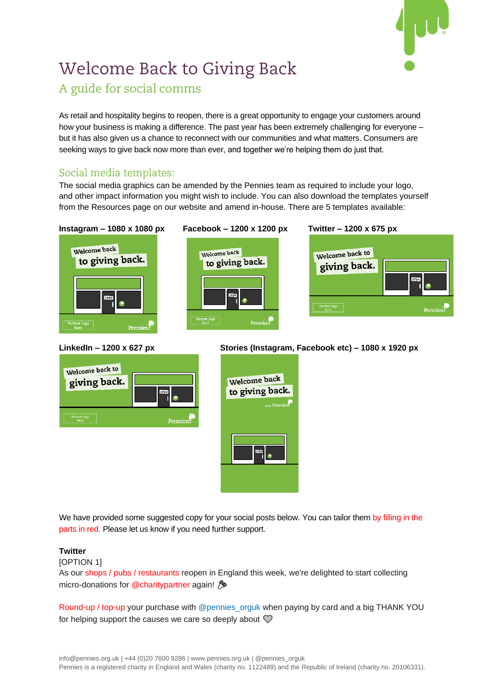

# **Welcome Back to Giving Back** A guide for social comms

As retail and hospitality begins to reopen, there is a great opportunity to engage your customers around how your business is making a difference. The past year has been extremely challenging for everyone – but it has also given us a chance to reconnect with our communities and what matters. Consumers are seeking ways to give back now more than ever, and together we're helping them do just that.

## Social media templates:

The social media graphics can be amended by the Pennies team as required to include your logo, and other impact information you might wish to include. You can also download the templates yourself from the Resources page on our website and amend in-house. There are 5 templates available:







## **LinkedIn – 1200 x 627 px Stories (Instagram, Facebook etc) – 1080 x 1920 px**



We have provided some suggested copy for your social posts below. You can tailor them by filling in the parts in red. Please let us know if you need further support.

### **Twitter**

[OPTION 1]

As our shops / pubs / restaurants reopen in England this week, we're delighted to start collecting micro-donations for @charitypartner again!

Round-up / top-up your purchase with @pennies\_orguk when paying by card and a big THANK YOU for helping support the causes we care so deeply about  $\mathcal D$